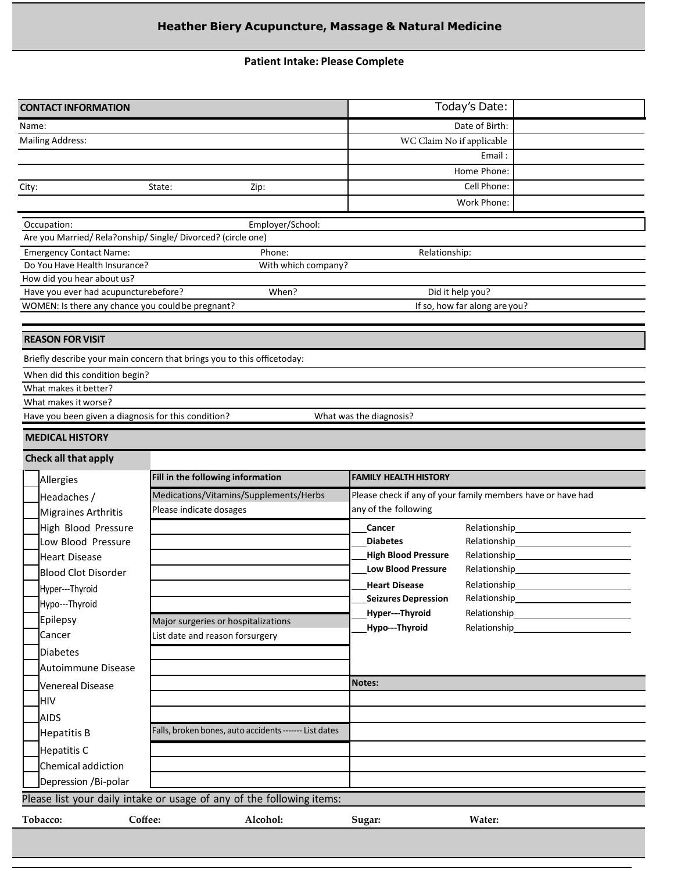# **Heather Biery Acupuncture, Massage & Natural Medicine**

## **Patient Intake: Please Complete**

|       | <b>CONTACT INFORMATION</b>                                                                |                                                                         |                              | Today's Date:                                                                                                                                                                                                                    |  |  |  |
|-------|-------------------------------------------------------------------------------------------|-------------------------------------------------------------------------|------------------------------|----------------------------------------------------------------------------------------------------------------------------------------------------------------------------------------------------------------------------------|--|--|--|
| Name: |                                                                                           |                                                                         |                              | Date of Birth:                                                                                                                                                                                                                   |  |  |  |
|       | <b>Mailing Address:</b>                                                                   |                                                                         | WC Claim No if applicable    |                                                                                                                                                                                                                                  |  |  |  |
|       |                                                                                           |                                                                         |                              | Email:                                                                                                                                                                                                                           |  |  |  |
|       |                                                                                           |                                                                         |                              | Home Phone:                                                                                                                                                                                                                      |  |  |  |
| City: |                                                                                           | State:<br>Zip:                                                          |                              | Cell Phone:                                                                                                                                                                                                                      |  |  |  |
|       |                                                                                           |                                                                         |                              | Work Phone:                                                                                                                                                                                                                      |  |  |  |
|       | Occupation:                                                                               | Employer/School:                                                        |                              |                                                                                                                                                                                                                                  |  |  |  |
|       | Are you Married/ Rela?onship/ Single/ Divorced? (circle one)                              |                                                                         |                              |                                                                                                                                                                                                                                  |  |  |  |
|       | <b>Emergency Contact Name:</b>                                                            | Phone:                                                                  | Relationship:                |                                                                                                                                                                                                                                  |  |  |  |
|       | Do You Have Health Insurance?                                                             | With which company?                                                     |                              |                                                                                                                                                                                                                                  |  |  |  |
|       | How did you hear about us?                                                                |                                                                         |                              |                                                                                                                                                                                                                                  |  |  |  |
|       | Have you ever had acupuncturebefore?<br>WOMEN: Is there any chance you could be pregnant? | When?                                                                   |                              | Did it help you?<br>If so, how far along are you?                                                                                                                                                                                |  |  |  |
|       |                                                                                           |                                                                         |                              |                                                                                                                                                                                                                                  |  |  |  |
|       | <b>REASON FOR VISIT</b>                                                                   |                                                                         |                              |                                                                                                                                                                                                                                  |  |  |  |
|       |                                                                                           | Briefly describe your main concern that brings you to this officetoday: |                              |                                                                                                                                                                                                                                  |  |  |  |
|       | When did this condition begin?                                                            |                                                                         |                              |                                                                                                                                                                                                                                  |  |  |  |
|       | What makes it better?                                                                     |                                                                         |                              |                                                                                                                                                                                                                                  |  |  |  |
|       | What makes it worse?                                                                      |                                                                         |                              |                                                                                                                                                                                                                                  |  |  |  |
|       | Have you been given a diagnosis for this condition?                                       |                                                                         | What was the diagnosis?      |                                                                                                                                                                                                                                  |  |  |  |
|       | <b>MEDICAL HISTORY</b>                                                                    |                                                                         |                              |                                                                                                                                                                                                                                  |  |  |  |
|       | Check all that apply                                                                      |                                                                         |                              |                                                                                                                                                                                                                                  |  |  |  |
|       |                                                                                           |                                                                         |                              |                                                                                                                                                                                                                                  |  |  |  |
|       | Allergies                                                                                 | Fill in the following information                                       | <b>FAMILY HEALTH HISTORY</b> |                                                                                                                                                                                                                                  |  |  |  |
|       | Headaches /                                                                               | Medications/Vitamins/Supplements/Herbs                                  |                              | Please check if any of your family members have or have had                                                                                                                                                                      |  |  |  |
|       | <b>Migraines Arthritis</b>                                                                | Please indicate dosages                                                 | any of the following         |                                                                                                                                                                                                                                  |  |  |  |
|       | High Blood Pressure                                                                       |                                                                         | Cancer                       | Relationship_<br>the control of the control of the                                                                                                                                                                               |  |  |  |
|       | Low Blood Pressure                                                                        |                                                                         | <b>Diabetes</b>              | Relationship_                                                                                                                                                                                                                    |  |  |  |
|       | <b>Heart Disease</b>                                                                      |                                                                         | <b>High Blood Pressure</b>   | Relationship_                                                                                                                                                                                                                    |  |  |  |
|       | <b>Blood Clot Disorder</b>                                                                |                                                                         | <b>Low Blood Pressure</b>    | Relationship                                                                                                                                                                                                                     |  |  |  |
|       |                                                                                           |                                                                         | <b>Heart Disease</b>         | Relationship                                                                                                                                                                                                                     |  |  |  |
|       | Hyper---Thyroid                                                                           |                                                                         | <b>Seizures Depression</b>   | Relationship<br>Letteral Contract Contract Contract Contract Contract Contract Contract Contract Contract Contract Contract Contract Contract Contract Contract Contract Contract Contract Contract Contract Contract Contract C |  |  |  |
|       | Hypo---Thyroid                                                                            |                                                                         | Hyper-Thyroid                | Relationship_                                                                                                                                                                                                                    |  |  |  |
|       | Epilepsy                                                                                  | Major surgeries or hospitalizations                                     | Hypo-Thyroid                 | Relationship_                                                                                                                                                                                                                    |  |  |  |
|       | Cancer                                                                                    | List date and reason forsurgery                                         |                              |                                                                                                                                                                                                                                  |  |  |  |
|       | <b>Diabetes</b>                                                                           |                                                                         |                              |                                                                                                                                                                                                                                  |  |  |  |
|       | Autoimmune Disease                                                                        |                                                                         |                              |                                                                                                                                                                                                                                  |  |  |  |
|       | <b>Venereal Disease</b>                                                                   |                                                                         | Notes:                       |                                                                                                                                                                                                                                  |  |  |  |
|       | HIV                                                                                       |                                                                         |                              |                                                                                                                                                                                                                                  |  |  |  |
|       | <b>AIDS</b>                                                                               |                                                                         |                              |                                                                                                                                                                                                                                  |  |  |  |
|       | <b>Hepatitis B</b>                                                                        | Falls, broken bones, auto accidents ------- List dates                  |                              |                                                                                                                                                                                                                                  |  |  |  |
|       | <b>Hepatitis C</b>                                                                        |                                                                         |                              |                                                                                                                                                                                                                                  |  |  |  |
|       | Chemical addiction                                                                        |                                                                         |                              |                                                                                                                                                                                                                                  |  |  |  |
|       | Depression /Bi-polar                                                                      |                                                                         |                              |                                                                                                                                                                                                                                  |  |  |  |
|       |                                                                                           | Please list your daily intake or usage of any of the following items:   |                              |                                                                                                                                                                                                                                  |  |  |  |
|       | Coffee:<br>Tobacco:                                                                       | Alcohol:                                                                | Sugar:                       | Water:                                                                                                                                                                                                                           |  |  |  |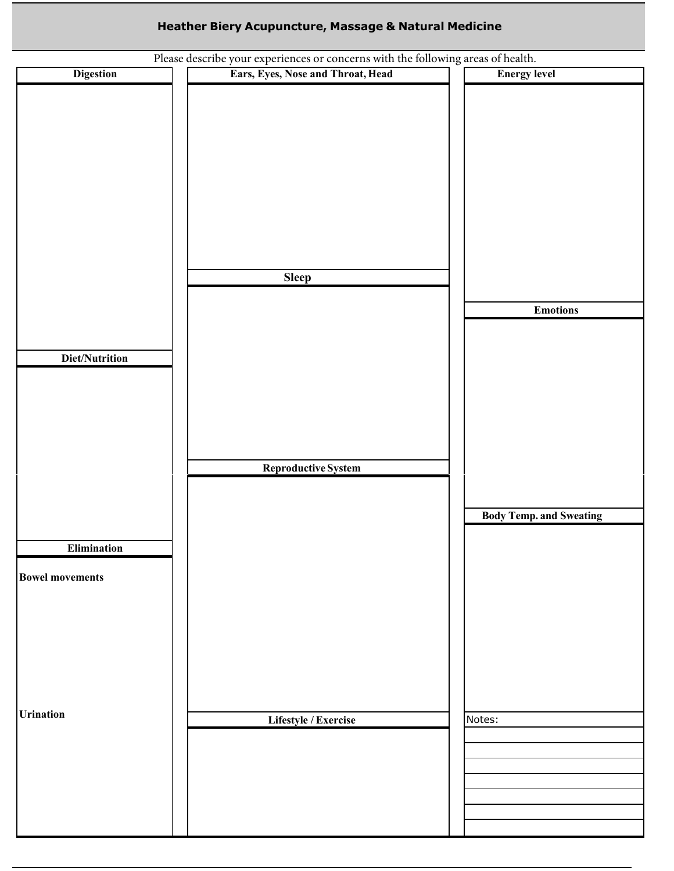# **Example 20 Heather Biery Acupuncture, Massage & Natural Medicine**

| Please describe your experiences or concerns with the following areas of health. |                                   |                                |  |  |
|----------------------------------------------------------------------------------|-----------------------------------|--------------------------------|--|--|
| <b>Digestion</b>                                                                 | Ears, Eyes, Nose and Throat, Head | <b>Energy level</b>            |  |  |
|                                                                                  |                                   |                                |  |  |
|                                                                                  |                                   |                                |  |  |
|                                                                                  |                                   |                                |  |  |
|                                                                                  |                                   |                                |  |  |
|                                                                                  |                                   |                                |  |  |
|                                                                                  |                                   |                                |  |  |
|                                                                                  |                                   |                                |  |  |
|                                                                                  |                                   |                                |  |  |
|                                                                                  |                                   |                                |  |  |
|                                                                                  |                                   |                                |  |  |
|                                                                                  |                                   |                                |  |  |
|                                                                                  | <b>Sleep</b>                      |                                |  |  |
|                                                                                  |                                   | <b>Emotions</b>                |  |  |
|                                                                                  |                                   |                                |  |  |
|                                                                                  |                                   |                                |  |  |
| Diet/Nutrition                                                                   |                                   |                                |  |  |
|                                                                                  |                                   |                                |  |  |
|                                                                                  |                                   |                                |  |  |
|                                                                                  |                                   |                                |  |  |
|                                                                                  |                                   |                                |  |  |
|                                                                                  |                                   |                                |  |  |
|                                                                                  | Reproductive System               |                                |  |  |
|                                                                                  |                                   |                                |  |  |
|                                                                                  |                                   |                                |  |  |
|                                                                                  |                                   | <b>Body Temp. and Sweating</b> |  |  |
|                                                                                  |                                   |                                |  |  |
| $Elimination \\$                                                                 |                                   |                                |  |  |
| <b>Bowel movements</b>                                                           |                                   |                                |  |  |
|                                                                                  |                                   |                                |  |  |
|                                                                                  |                                   |                                |  |  |
|                                                                                  |                                   |                                |  |  |
|                                                                                  |                                   |                                |  |  |
|                                                                                  |                                   |                                |  |  |
|                                                                                  |                                   |                                |  |  |
|                                                                                  |                                   |                                |  |  |
| <b>Urination</b>                                                                 | Lifestyle / Exercise              | Notes:                         |  |  |
|                                                                                  |                                   |                                |  |  |
|                                                                                  |                                   |                                |  |  |
|                                                                                  |                                   |                                |  |  |
|                                                                                  |                                   |                                |  |  |
|                                                                                  |                                   |                                |  |  |
|                                                                                  |                                   |                                |  |  |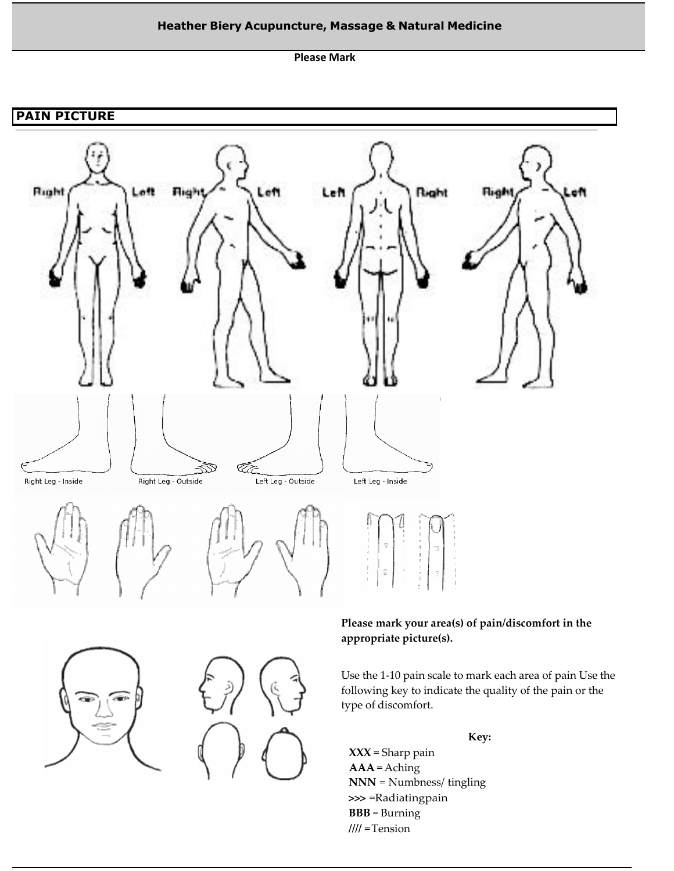# **Example 20 Heather Biery Acupuncture, Massage & Natural Medicine**

**Please Mark**

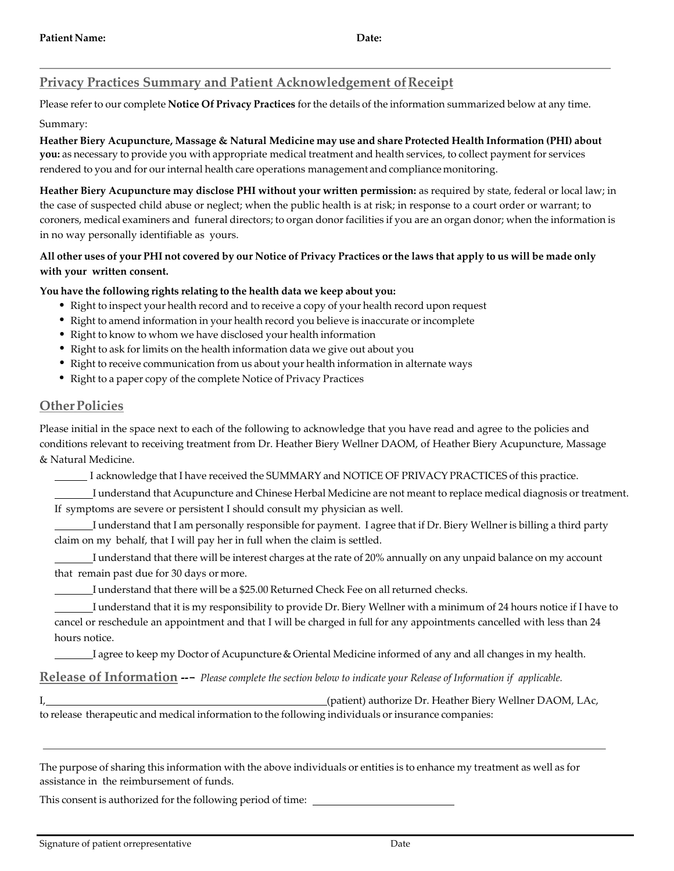# **Privacy Practices Summary and Patient Acknowledgement of Receipt**

Please referto our complete **Notice Of Privacy Practices** for the details of the information summarized below at any time.

### Summary:

**Heather Biery Acupuncture, Massage & Natural Medicine may use and share Protected Health Information (PHI) about you:** as necessary to provide you with appropriate medical treatment and health services, to collect payment for services rendered to you and for our internal health care operations management and compliance monitoring.

**Heather Biery Acupuncture may disclose PHI without your written permission:** as required by state, federal or local law; in the case of suspected child abuse or neglect; when the public health is at risk; in response to a court order or warrant; to coroners, medical examiners and funeral directors; to organ donor facilities if you are an organ donor; when the information is in no way personally identifiable as yours.

## All other uses of your PHI not covered by our Notice of Privacy Practices or the laws that apply to us will be made only **with your written consent.**

## **You have the following rights relating to the health data we keep about you:**

- Right to inspect your health record and to receive a copy of your health record upon request
- Right to amend information in your health record you believe is inaccurate or incomplete
- Right to know to whom we have disclosed your health information
- Right to ask for limits on the health information data we give out about you
- Right to receive communication from us about your health information in alternate ways
- Right to a paper copy of the complete Notice of Privacy Practices

## **Other Policies**

Please initial in the space next to each of the following to acknowledge that you have read and agree to the policies and conditions relevant to receiving treatment from Dr. Heather Biery Wellner DAOM, of Heather Biery Acupuncture, Massage & Natural Medicine.

I acknowledge that I have received the SUMMARY and NOTICE OF PRIVACYPRACTICES of this practice.

 I understand that Acupuncture and Chinese Herbal Medicine are not meant to replace medical diagnosis or treatment. If symptoms are severe or persistent I should consult my physician as well.

 I understand that I am personally responsible for payment. I agree that if Dr. Biery Wellner is billing a third party claim on my behalf, that I will pay her in full when the claim is settled.

 I understand that there will be interest charges at the rate of 20% annually on any unpaid balance on my account that remain past due for 30 days or more.

I understand that there will be a \$25.00 Returned Check Fee on all returned checks.

 I understand that it is my responsibility to provide Dr. Biery Wellner with a minimum of 24 hours notice if I have to cancel or reschedule an appointment and that I will be charged in full for any appointments cancelled with less than 24 hours notice.

I agree to keep my Doctor of Acupuncture & Oriental Medicine informed of any and all changes in my health.

**Release of Information ---** *Please complete the section below to indicate your Release of Information if applicable.*

I, (patient) authorize Dr. Heather Biery Wellner DAOM, LAc, to release therapeutic and medical information to the following individuals or insurance companies:

The purpose of sharing this information with the above individuals or entities is to enhance my treatment as well as for assistance in the reimbursement of funds.

This consent is authorized for the following period of time: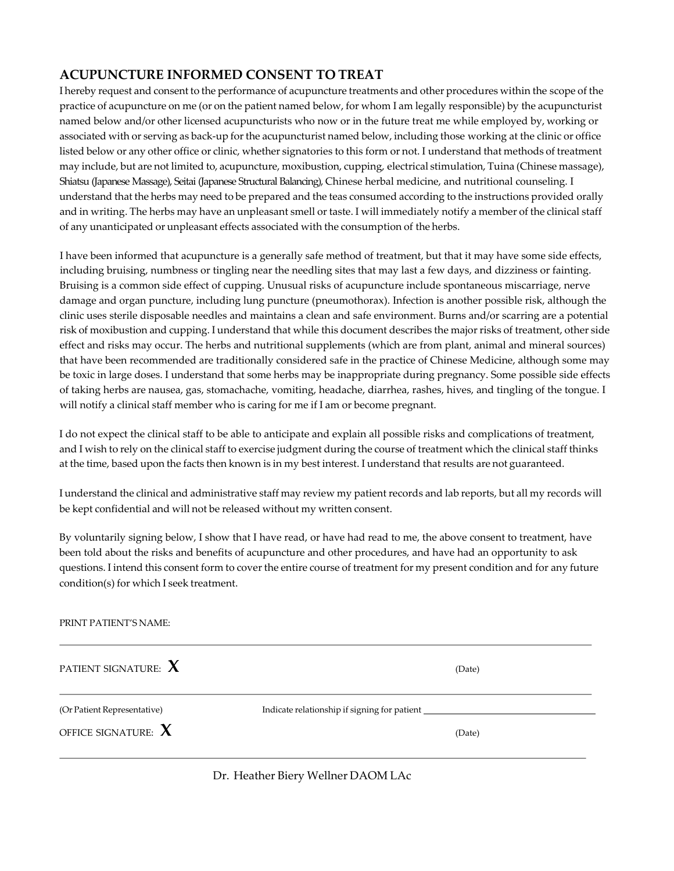## **ACUPUNCTURE INFORMED CONSENT TO TREAT**

I hereby request and consent to the performance of acupuncture treatments and other procedures within the scope of the practice of acupuncture on me (or on the patient named below, for whom I am legally responsible) by the acupuncturist named below and/or other licensed acupuncturists who now or in the future treat me while employed by, working or associated with or serving as back-up forthe acupuncturist named below, including those working at the clinic or office listed below or any other office or clinic, whether signatories to this form or not. I understand that methods of treatment may include, but are not limited to, acupuncture, moxibustion, cupping, electrical stimulation, Tuina (Chinese massage), Shiatsu (Japanese Massage), Seitai (Japanese Structural Balancing), Chinese herbal medicine, and nutritional counseling. I understand that the herbs may need to be prepared and the teas consumed according to the instructions provided orally and in writing. The herbs may have an unpleasant smell or taste. I will immediately notify a member of the clinical staff of any unanticipated or unpleasant effects associated with the consumption of the herbs.

I have been informed that acupuncture is a generally safe method of treatment, but that it may have some side effects, including bruising, numbness or tingling near the needling sites that may last a few days, and dizziness or fainting. Bruising is a common side effect of cupping. Unusual risks of acupuncture include spontaneous miscarriage, nerve damage and organ puncture, including lung puncture (pneumothorax). Infection is another possible risk, although the clinic uses sterile disposable needles and maintains a clean and safe environment. Burns and/or scarring are a potential risk of moxibustion and cupping. I understand that while this document describes the major risks of treatment, other side effect and risks may occur. The herbs and nutritional supplements (which are from plant, animal and mineral sources) that have been recommended are traditionally considered safe in the practice of Chinese Medicine, although some may be toxic in large doses. I understand that some herbs may be inappropriate during pregnancy. Some possible side effects of taking herbs are nausea, gas, stomachache, vomiting, headache, diarrhea, rashes, hives, and tingling of the tongue. I will notify a clinical staff member who is caring for me if I am or become pregnant.

I do not expect the clinical staff to be able to anticipate and explain all possible risks and complications of treatment, and I wish to rely on the clinical staff to exercise judgment during the course of treatment which the clinical staff thinks at the time, based upon the facts then known is in my best interest. I understand that results are not guaranteed.

I understand the clinical and administrative staff may review my patient records and lab reports, but all my records will be kept confidential and will not be released without my written consent.

By voluntarily signing below, I show that I have read, or have had read to me, the above consent to treatment, have been told about the risks and benefits of acupuncture and other procedures, and have had an opportunity to ask questions. I intend this consent form to cover the entire course of treatment for my present condition and for any future condition(s) for which I seek treatment.

| PRINT PATIENT'S NAME:              |                                                        |  |  |  |  |
|------------------------------------|--------------------------------------------------------|--|--|--|--|
| PATIENT SIGNATURE: $\mathbf X$     | (Date)                                                 |  |  |  |  |
| (Or Patient Representative)        | Indicate relationship if signing for patient _________ |  |  |  |  |
| OFFICE SIGNATURE: $\boldsymbol{X}$ | (Date)                                                 |  |  |  |  |
|                                    |                                                        |  |  |  |  |

### Dr. Heather Biery Wellner DAOM LAc